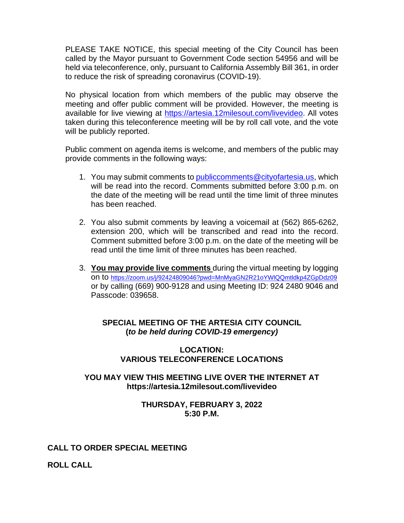PLEASE TAKE NOTICE, this special meeting of the City Council has been called by the Mayor pursuant to Government Code section 54956 and will be held via teleconference, only, pursuant to California Assembly Bill 361, in order to reduce the risk of spreading coronavirus (COVID-19).

No physical location from which members of the public may observe the meeting and offer public comment will be provided. However, the meeting is available for live viewing at [https://artesia.12milesout.com/livevideo.](https://artesia.12milesout.com/livevideo) All votes taken during this teleconference meeting will be by roll call vote, and the vote will be publicly reported.

Public comment on agenda items is welcome, and members of the public may provide comments in the following ways:

- 1. You may submit comments to [publiccomments@cityofartesia.us,](mailto:publiccomments@cityofartesia.us) which will be read into the record. Comments submitted before 3:00 p.m. on the date of the meeting will be read until the time limit of three minutes has been reached.
- 2. You also submit comments by leaving a voicemail at (562) 865-6262, extension 200, which will be transcribed and read into the record. Comment submitted before 3:00 p.m. on the date of the meeting will be read until the time limit of three minutes has been reached.
- 3. **You may provide live comments** during the virtual meeting by logging on to <https://zoom.us/j/92424809046?pwd=MnMyaGN2R21oYWlQQmtldkp4ZGpDdz09> or by calling (669) 900-9128 and using Meeting ID: 924 2480 9046 and Passcode: 039658.

# **SPECIAL MEETING OF THE ARTESIA CITY COUNCIL (***to be held during COVID-19 emergency)*

### **LOCATION: VARIOUS TELECONFERENCE LOCATIONS**

### **YOU MAY VIEW THIS MEETING LIVE OVER THE INTERNET AT https://artesia.12milesout.com/livevideo**

### **THURSDAY, FEBRUARY 3, 2022 5:30 P.M.**

## **CALL TO ORDER SPECIAL MEETING**

**ROLL CALL**